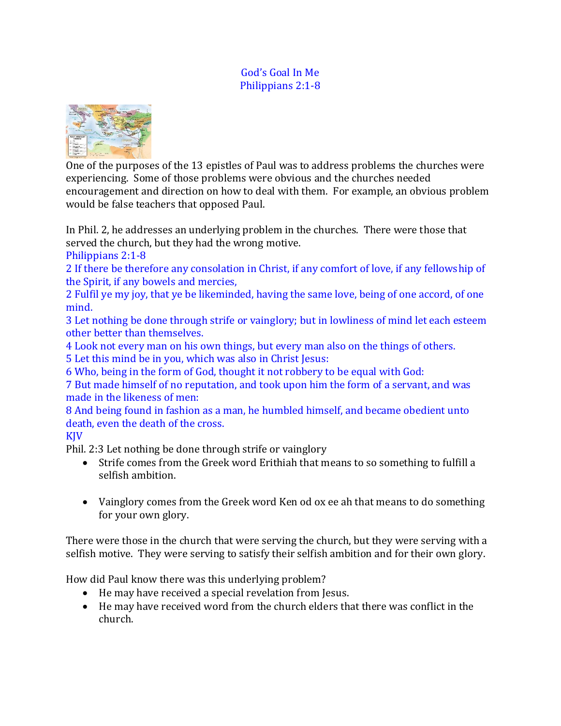#### God's Goal In Me Philippians 2:1-8



One of the purposes of the 13 epistles of Paul was to address problems the churches were experiencing. Some of those problems were obvious and the churches needed encouragement and direction on how to deal with them. For example, an obvious problem would be false teachers that opposed Paul.

In Phil. 2, he addresses an underlying problem in the churches. There were those that served the church, but they had the wrong motive.

Philippians 2:1-8

2 If there be therefore any consolation in Christ, if any comfort of love, if any fellowship of the Spirit, if any bowels and mercies,

2 Fulfil ye my joy, that ye be likeminded, having the same love, being of one accord, of one mind.

3 Let nothing be done through strife or vainglory; but in lowliness of mind let each esteem other better than themselves.

4 Look not every man on his own things, but every man also on the things of others.

5 Let this mind be in you, which was also in Christ Jesus:

6 Who, being in the form of God, thought it not robbery to be equal with God:

7 But made himself of no reputation, and took upon him the form of a servant, and was made in the likeness of men:

8 And being found in fashion as a man, he humbled himself, and became obedient unto death, even the death of the cross.

# KJV

Phil. 2:3 Let nothing be done through strife or vainglory

- Strife comes from the Greek word Erithiah that means to so something to fulfill a selfish ambition.
- Vainglory comes from the Greek word Ken od ox ee ah that means to do something for your own glory.

There were those in the church that were serving the church, but they were serving with a selfish motive. They were serving to satisfy their selfish ambition and for their own glory.

How did Paul know there was this underlying problem?

- He may have received a special revelation from Jesus.
- He may have received word from the church elders that there was conflict in the church.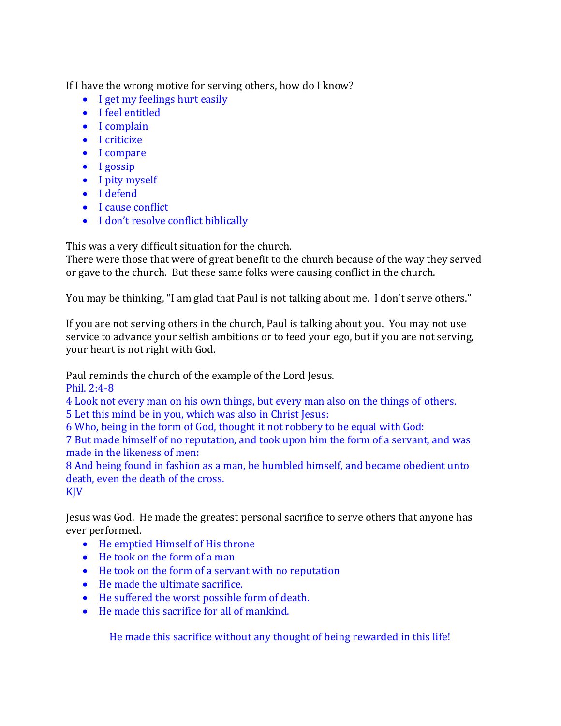If I have the wrong motive for serving others, how do I know?

- I get my feelings hurt easily
- I feel entitled
- I complain
- I criticize
- I compare
- I gossip
- I pity myself
- I defend
- I cause conflict
- I don't resolve conflict biblically

This was a very difficult situation for the church.

There were those that were of great benefit to the church because of the way they served or gave to the church. But these same folks were causing conflict in the church.

You may be thinking, "I am glad that Paul is not talking about me. I don't serve others."

If you are not serving others in the church, Paul is talking about you. You may not use service to advance your selfish ambitions or to feed your ego, but if you are not serving, your heart is not right with God.

Paul reminds the church of the example of the Lord Jesus.

Phil. 2:4-8

4 Look not every man on his own things, but every man also on the things of others. 5 Let this mind be in you, which was also in Christ Jesus:

6 Who, being in the form of God, thought it not robbery to be equal with God:

7 But made himself of no reputation, and took upon him the form of a servant, and was made in the likeness of men:

8 And being found in fashion as a man, he humbled himself, and became obedient unto death, even the death of the cross.

KJV

Jesus was God. He made the greatest personal sacrifice to serve others that anyone has ever performed.

- He emptied Himself of His throne
- He took on the form of a man
- He took on the form of a servant with no reputation
- He made the ultimate sacrifice.
- He suffered the worst possible form of death.
- He made this sacrifice for all of mankind.

He made this sacrifice without any thought of being rewarded in this life!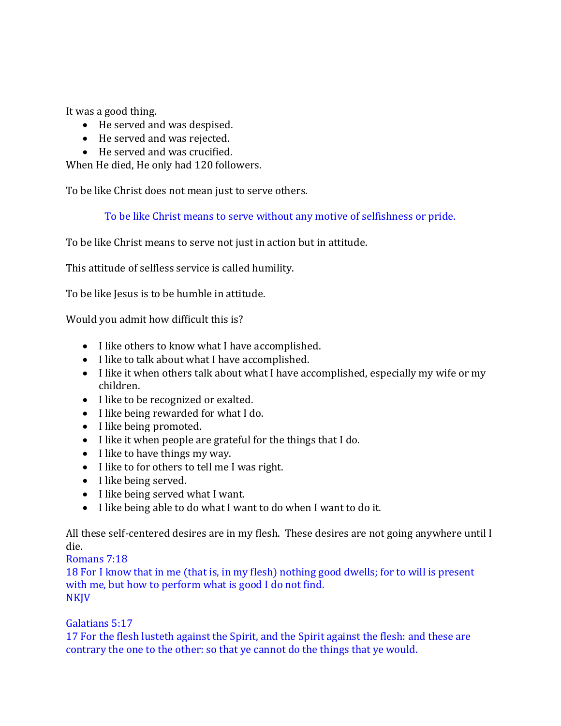It was a good thing.

- He served and was despised.
- He served and was rejected.
- He served and was crucified.

When He died, He only had 120 followers.

To be like Christ does not mean just to serve others.

To be like Christ means to serve without any motive of selfishness or pride.

To be like Christ means to serve not just in action but in attitude.

This attitude of selfless service is called humility.

To be like Jesus is to be humble in attitude.

Would you admit how difficult this is?

- I like others to know what I have accomplished.
- I like to talk about what I have accomplished.
- I like it when others talk about what I have accomplished, especially my wife or my children.
- I like to be recognized or exalted.
- I like being rewarded for what I do.
- I like being promoted.
- I like it when people are grateful for the things that I do.
- I like to have things my way.
- I like to for others to tell me I was right.
- I like being served.
- I like being served what I want.
- I like being able to do what I want to do when I want to do it.

All these self-centered desires are in my flesh. These desires are not going anywhere until I die.

## Romans 7:18

18 For I know that in me (that is, in my flesh) nothing good dwells; for to will is present with me, but how to perform what is good I do not find. NKJV

### Galatians 5:17

17 For the flesh lusteth against the Spirit, and the Spirit against the flesh: and these are contrary the one to the other: so that ye cannot do the things that ye would.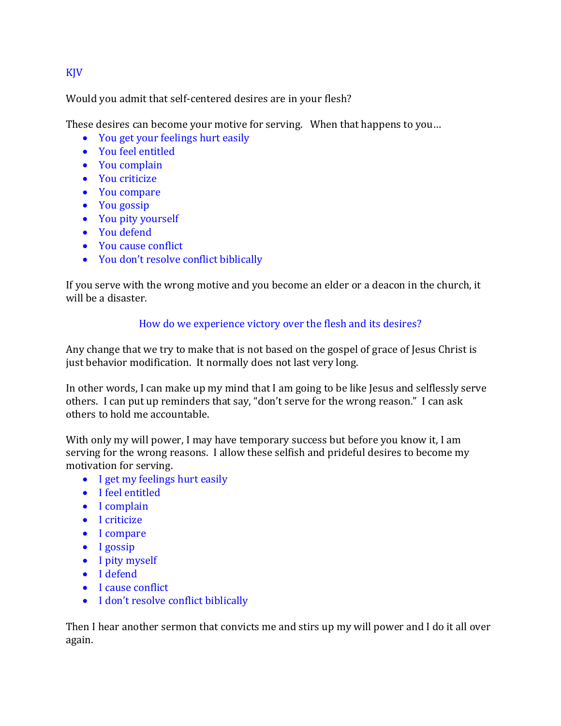### KJV

Would you admit that self-centered desires are in your flesh?

These desires can become your motive for serving. When that happens to you…

- You get your feelings hurt easily
- You feel entitled
- You complain
- You criticize
- You compare
- You gossip
- You pity yourself
- You defend
- You cause conflict
- You don't resolve conflict biblically

If you serve with the wrong motive and you become an elder or a deacon in the church, it will be a disaster.

## How do we experience victory over the flesh and its desires?

Any change that we try to make that is not based on the gospel of grace of Jesus Christ is just behavior modification. It normally does not last very long.

In other words, I can make up my mind that I am going to be like Jesus and selflessly serve others. I can put up reminders that say, "don't serve for the wrong reason." I can ask others to hold me accountable.

With only my will power, I may have temporary success but before you know it, I am serving for the wrong reasons. I allow these selfish and prideful desires to become my motivation for serving.

- I get my feelings hurt easily
- I feel entitled
- I complain
- I criticize
- I compare
- I gossip
- I pity myself
- I defend
- I cause conflict
- I don't resolve conflict biblically

Then I hear another sermon that convicts me and stirs up my will power and I do it all over again.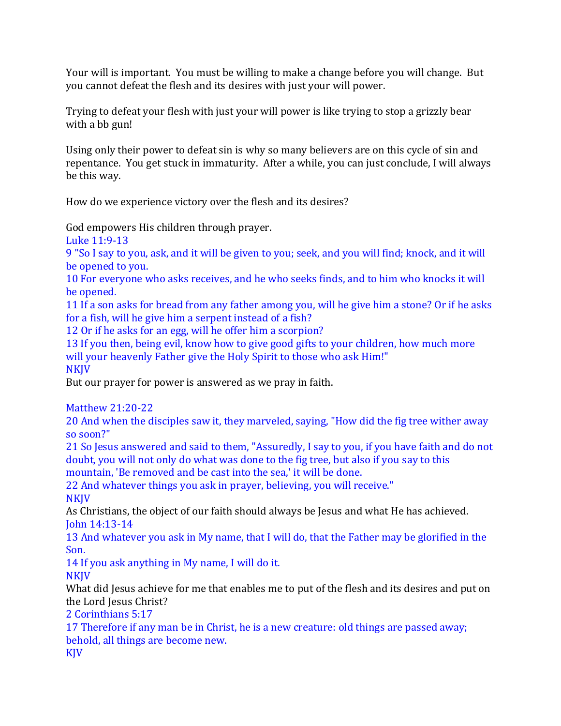Your will is important. You must be willing to make a change before you will change. But you cannot defeat the flesh and its desires with just your will power.

Trying to defeat your flesh with just your will power is like trying to stop a grizzly bear with a bb gun!

Using only their power to defeat sin is why so many believers are on this cycle of sin and repentance. You get stuck in immaturity. After a while, you can just conclude, I will always be this way.

How do we experience victory over the flesh and its desires?

God empowers His children through prayer.

Luke 11:9-13

9 "So I say to you, ask, and it will be given to you; seek, and you will find; knock, and it will be opened to you.

10 For everyone who asks receives, and he who seeks finds, and to him who knocks it will be opened.

11 If a son asks for bread from any father among you, will he give him a stone? Or if he asks for a fish, will he give him a serpent instead of a fish?

12 Or if he asks for an egg, will he offer him a scorpion?

13 If you then, being evil, know how to give good gifts to your children, how much more will your heavenly Father give the Holy Spirit to those who ask Him!" **NKIV** 

But our prayer for power is answered as we pray in faith.

Matthew 21:20-22

20 And when the disciples saw it, they marveled, saying, "How did the fig tree wither away so soon?"

21 So Jesus answered and said to them, "Assuredly, I say to you, if you have faith and do not doubt, you will not only do what was done to the fig tree, but also if you say to this mountain, 'Be removed and be cast into the sea,' it will be done.

22 And whatever things you ask in prayer, believing, you will receive." **NKIV** 

As Christians, the object of our faith should always be Jesus and what He has achieved. John 14:13-14

13 And whatever you ask in My name, that I will do, that the Father may be glorified in the Son.

14 If you ask anything in My name, I will do it.

**NKIV** 

What did Jesus achieve for me that enables me to put of the flesh and its desires and put on the Lord Jesus Christ?

2 Corinthians 5:17

17 Therefore if any man be in Christ, he is a new creature: old things are passed away; behold, all things are become new.

KJV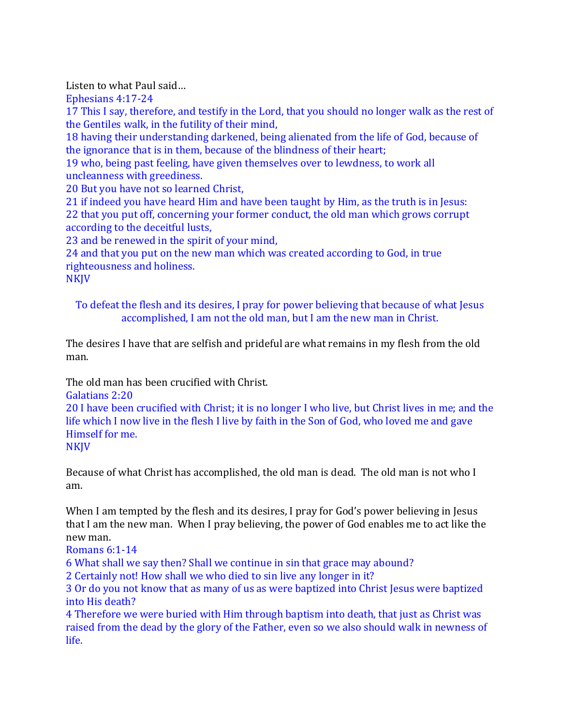Listen to what Paul said…

Ephesians 4:17-24

17 This I say, therefore, and testify in the Lord, that you should no longer walk as the rest of the Gentiles walk, in the futility of their mind,

18 having their understanding darkened, being alienated from the life of God, because of the ignorance that is in them, because of the blindness of their heart;

19 who, being past feeling, have given themselves over to lewdness, to work all uncleanness with greediness.

20 But you have not so learned Christ,

21 if indeed you have heard Him and have been taught by Him, as the truth is in Jesus: 22 that you put off, concerning your former conduct, the old man which grows corrupt according to the deceitful lusts,

23 and be renewed in the spirit of your mind,

24 and that you put on the new man which was created according to God, in true righteousness and holiness.

**NKJV** 

To defeat the flesh and its desires, I pray for power believing that because of what Jesus accomplished, I am not the old man, but I am the new man in Christ.

The desires I have that are selfish and prideful are what remains in my flesh from the old man.

The old man has been crucified with Christ.

Galatians 2:20

20 I have been crucified with Christ; it is no longer I who live, but Christ lives in me; and the life which I now live in the flesh I live by faith in the Son of God, who loved me and gave Himself for me.

Because of what Christ has accomplished, the old man is dead. The old man is not who I am.

When I am tempted by the flesh and its desires, I pray for God's power believing in Jesus that I am the new man. When I pray believing, the power of God enables me to act like the new man.

Romans 6:1-14

6 What shall we say then? Shall we continue in sin that grace may abound?

2 Certainly not! How shall we who died to sin live any longer in it?

3 Or do you not know that as many of us as were baptized into Christ Jesus were baptized into His death?

4 Therefore we were buried with Him through baptism into death, that just as Christ was raised from the dead by the glory of the Father, even so we also should walk in newness of life.

**NKJV**